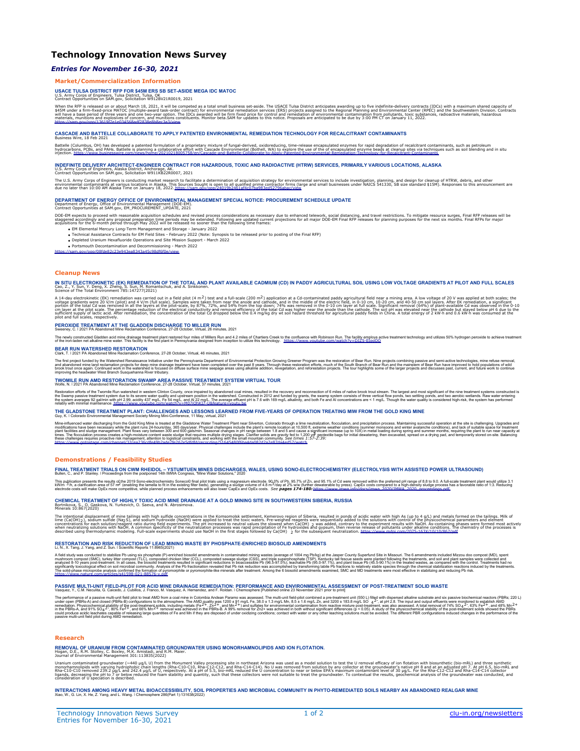# **Technology Innovation News Survey**

### *Entries for November 16-30, 2021*

#### **Market/Commercialization Information**

**USACE TULSA DISTRICT RFP FOR \$45M ERS SB SET-ASIDE MEGA IDC MATOC<br>U.S. Army Corps of Engineers, Tulsa District, Tulsa, OK<br>Contract Opportunities on SAM.gov, Solicitation W912BV21R0019, 2021** 

When the RFP is released on or about March 18, 2021, it will be competed as a total small usincess ech-aside. The USACE Tulsa District anticipates awarding up to five interactional relationships included and the SMCS incl

## **CASCADE AND BATTELLE COLLABORATE TO APPLY PATENTED ENVIRONMENTAL REMEDIATION TECHNOLOGY FOR RECALCITRANT CONTAMINANTS** Business Wire, 18 Feb 2021

Battelle (Columbus, OH) has developed a patented formulation of a proprietary mixture of fungal-derived, oxidoreducing, time-release encapsulated enzymes for rapid degradation of recalcitrant contaminants, such as petroleu

# INDEFINITE DELIVERY ARCHITECT-ENGINEER CONTRACT FOR HAZARDOUS, TOXIC AND RADIOACTIVE (HTRW) SERVICES, PRIMARILY VARIOUS LOCATIONS, ALASKA<br>U.S. Army Corps of Engineers, Alaska District, Anchorage, AK.<br>Contract Opportunities

The U.S. Army Corps of Engineers is conducting market research to facilitate a determination of acquisition strategy for environmental services to include investigation, planning, and design for cleanup of HTRW, debris, an

## **DEPARTMENT OF ENERGY OFFICE OF ENVIRONMENTAL MANAGEMENT SPECIAL NOTICE: PROCUREMENT SCHEDULE UPDATE**

Department of Energy, Office of Environmental Management (DOE-EM). Contract Opportunities at SAM.gov, EM\_PROCUREMENT\_UPDATE, 2021

DOE-EM expects to proceed with reasonable acquisition schedules and revised process considerations as necessary due to enhanced telework, social distancing, and travel restrictions. To mitigate resource surges, Final RFP r

- EM Elemental Mercury Long-Term Management and Storage January 2022
- Technical Assistance Contracts for EM Field Sites February 2022 (Note: Synopsis to be released prior to posting of the Final RFP)<br>Depleted Uranium Hexafluoride Operations and Site Mission Support March 2022<br>Portsmouth
- 

<https://sam.gov/opp/08fde82c23e943ea8343a45c98df6f0e/view>

#### **Cleanup News**

IN SITU ELECTROKINETIC (EK) REMEDIATION OF THE TOTAL AND PLANT AVAILABLE CADMIUM (CD) IN PADDY AGRICULTURAL SOIL USING LOW VOLTAGE GRADIENTS AT PILOT AND FULL SCALES<br>Cao, Z., Y. Sun, Y. Deng, X. Zheng, S. Sun, M. Romantsch

A 14-day electrokinetic (EK) remediation was carried out in a field pilot (4 m<sup>2</sup>) test and a full-scale (200 m<sup>2</sup>) applicable in the mode and cathode, and in the midde of the electric field, in 0-10 cm, 10-20 cm, and 40-5

#### **PEROXIDE TREATMENT AT THE GLADDEN DISCHARGE TO MILLER RUN** Sweeney, C. ǀ 2021 PA Abandoned Mine Reclamation Conference, 27-28 October, Virtual, 26 minutes, 2021

The newly constructed Gladden acid mine drainage treatment plant restored four miles of Millers Run and 4.2 miles of Chartiers Creek to the confluence with Robinson Run. The facility emptys adve treatment technologement te

**BEAR RUN WATERSHED RESTORATION** Clark, T. ǀ 2021 PA Abandoned Mine Reclamation Conference, 27-28 October, Virtual, 46 minutes, 2021

The first project indet by Watershock Realisance initial way under the Pennsylvania Department of Environmental Protection Groving Greener Proprian was the restoration of bear Run Anders in the projects on the including an

#### **TWOMILE RUN AMD RESTORATION SWAMP AREA PASSIVE TREATMENT SYSTEM VIRTUAL TOUR**<br>Wolfe, N. I 2021 PA Abandoned Mine Reclamation Conference, 27-28 October, Virtual, 37 minutes, 2021

Restoration effore The Twomile Run watershed in western Clinton County, once impaired by abandoned coal mines, resulted in the recovery and theorem in the value of miles of nail ve then the method of the result of miles of

#### **THE GLADSTONE TREATMENT PLANT: CHALLENGES AND LESSONS LEARNED FROM FIVE-YEARS OF OPERATION TREATING MIW FROM THE GOLD KING MINE**<br>Guy, K. I Colorado Environmental Management Society Mining Mini-Conference, 11 May, virtual, Guy, K. ǀ Colorado Environmental Management Society Mining Mini-Conference, 11 May, virtual, 2021

Mine-influenced water discharging from the Gold King Mine is treated at the Gladstone Water Treatment Plant nar Silverton, Colorado it mode neutralization, modelfications have been necessary while the plant ms 24-hoursday,

#### **Demonstrations / Feasibility Studies**

FINAL TREATMENT TRIALS ON CWM RHEIDOL – YSTUMTUEN MINES DISCHARGES, WALES, USING SONO-ELECTROCHEMISTRY (ELECTROLYSIS WITH ASSISTED POWER ULTRASOUND)<br>Bullen, C., and P. Stanley. I Proceedings from the postponed 14th MMA Con

This publication presents the results of the 2019 Sono-electrochemistry Soneco© final pilot trials using a magnesium electrode. 90,% of Pb, 95.7% of Zn, and 95.1% of Cd. were removed within the preferred pH range of 8.8 to

#### **CHEMICAL TREATMENT OF HIGHLY TOXIC ACID MINE DRAINAGE AT A GOLD MINING SITE IN SOUTHWESTERN SIBERIA, RUSSIA** Bortnikova, S., O. Gaskova, N. Yurkevich, O. Saeva, and N. Abrosimova. Bortnikova, S., O. Gasko<br>Minerals 10:867(2020)

The intentional displacement of mine tailings with high suifide concentrations in the Komsomols ketternent, Kemerovo region of Siberia, resulted in ponds of activity were spilled to the solutions with control of the physic

## **RESTORATION AND RISK REDUCTION OF LEAD MINING WASTE BY PHOSPHATE-ENRICHED BIOSOLID AMENDMENTS**<br>Li, N., X. Tang, J. Yang, and Z. Sun. I Scientific Reports 11:8965(2021)

A field study was conducted to stabilize Po using six phosphate (P)-enriched biosolid amediments in contaminated mining wastes (average of 1004 mg Pbkg) at the Jasper Coulected and milesouri. The 8 amendments included Mizz

#### **PASSIVE MULTI-UNIT FIELD-PILOT FOR ACID MINE DRAINAGE REMEDIATION: PERFORMANCE AND ENVIRONMENTAL ASSESSMENT OF POST-TREATMENT SOLID WASTE** Vasquez, Y., C.M. Neculita, G. Caicedo, J. Cubillos, J. Franco, M. Vasquez, A. Hernandez, and F. Roldan. I Chemosphere [Published online 23 November 2021 prior to print]

The performance of a passive multi-unitedig blot to threat MAD from a coal mine in Colombia Andean Paramo was assessed. The multi-unit feld-plught and the performance of a performance of a performance of a performance of a

#### **Research**

**REMOVAL OF URANIUM FROM CONTAMINATED GROUNDWATER USING MONORHAMNOLIPIDS AND ION FLOTATION.**<br>Hogan, D.E., R.M. Stolley, C. Boxley, M.K. Amistadi, and R.M. Maier.<br>Journal of Environmental Management 301:113835(2022)

Uranium contaminated groundwater (~440 µg/L U) from the Monument Valley increased as a model of the second of the section of the section of the section of the section of the section of the section of the section of the Mon

INTERACTIONS AMONG HEAVY METAL BIOACCESSIBILITY, SOIL PROPERTIES AND MICROBIAL COMMUNITY IN PHYTO-REMEDIATED SOILS NEARBY AN ABANDONED REALGAR MINE<br>Xiao, W., G. Lin, X. He, Z. Yang, and L. Wang. I Chemosphere 286(Part 1):1